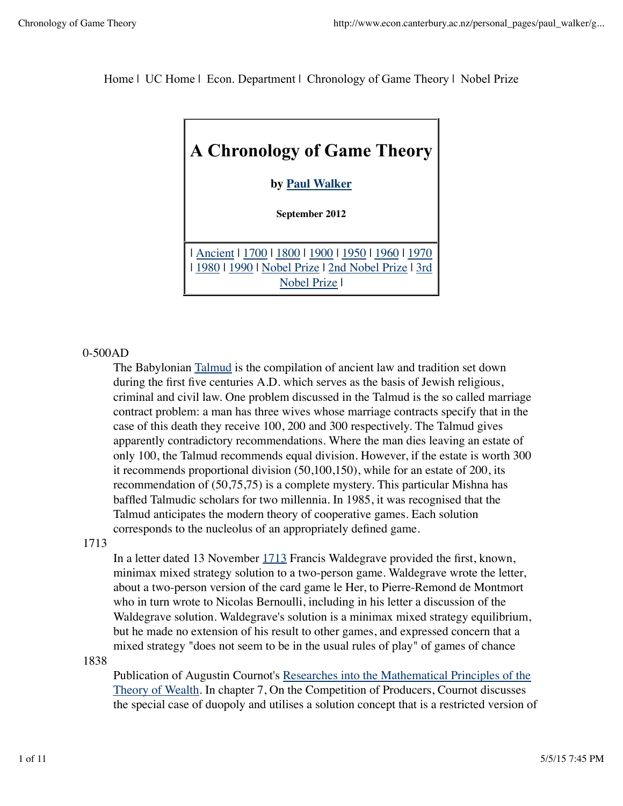Home | UC Home | Econ. Department | Chronology of Game Theory | Nobel Prize



## 0-500AD

The Babylonian Talmud is the compilation of ancient law and tradition set down during the first five centuries A.D. which serves as the basis of Jewish religious, criminal and civil law. One problem discussed in the Talmud is the so called marriage contract problem: a man has three wives whose marriage contracts specify that in the case of this death they receive 100, 200 and 300 respectively. The Talmud gives apparently contradictory recommendations. Where the man dies leaving an estate of only 100, the Talmud recommends equal division. However, if the estate is worth 300 it recommends proportional division (50,100,150), while for an estate of 200, its recommendation of (50,75,75) is a complete mystery. This particular Mishna has baffled Talmudic scholars for two millennia. In 1985, it was recognised that the Talmud anticipates the modern theory of cooperative games. Each solution corresponds to the nucleolus of an appropriately defined game.

### 1713

In a letter dated 13 November 1713 Francis Waldegrave provided the first, known, minimax mixed strategy solution to a two-person game. Waldegrave wrote the letter, about a two-person version of the card game le Her, to Pierre-Remond de Montmort who in turn wrote to Nicolas Bernoulli, including in his letter a discussion of the Waldegrave solution. Waldegrave's solution is a minimax mixed strategy equilibrium, but he made no extension of his result to other games, and expressed concern that a mixed strategy "does not seem to be in the usual rules of play" of games of chance

### 1838

Publication of Augustin Cournot's Researches into the Mathematical Principles of the Theory of Wealth. In chapter 7, On the Competition of Producers, Cournot discusses the special case of duopoly and utilises a solution concept that is a restricted version of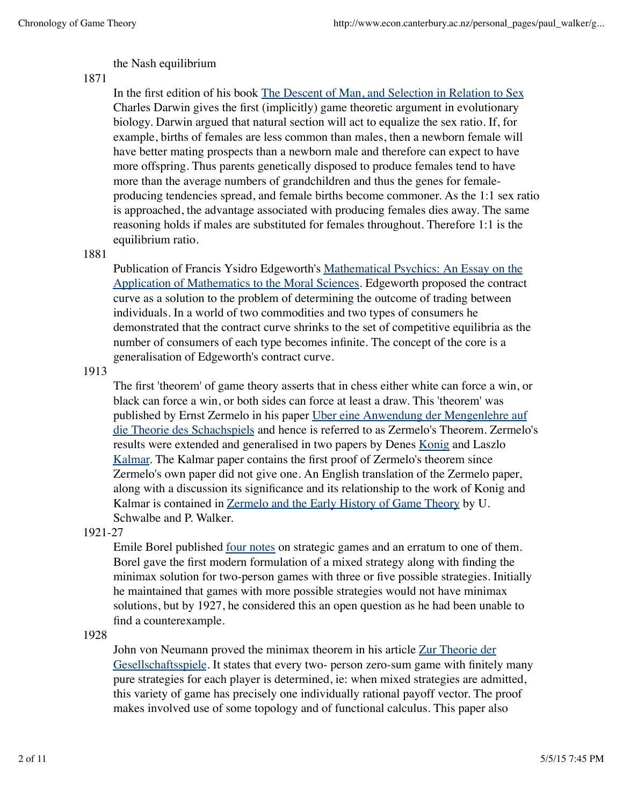## the Nash equilibrium

## 1871

In the first edition of his book The Descent of Man, and Selection in Relation to Sex Charles Darwin gives the first (implicitly) game theoretic argument in evolutionary biology. Darwin argued that natural section will act to equalize the sex ratio. If, for example, births of females are less common than males, then a newborn female will have better mating prospects than a newborn male and therefore can expect to have more offspring. Thus parents genetically disposed to produce females tend to have more than the average numbers of grandchildren and thus the genes for femaleproducing tendencies spread, and female births become commoner. As the 1:1 sex ratio is approached, the advantage associated with producing females dies away. The same reasoning holds if males are substituted for females throughout. Therefore 1:1 is the equilibrium ratio.

### 1881

Publication of Francis Ysidro Edgeworth's Mathematical Psychics: An Essay on the Application of Mathematics to the Moral Sciences. Edgeworth proposed the contract curve as a solution to the problem of determining the outcome of trading between individuals. In a world of two commodities and two types of consumers he demonstrated that the contract curve shrinks to the set of competitive equilibria as the number of consumers of each type becomes infinite. The concept of the core is a generalisation of Edgeworth's contract curve.

## 1913

The first 'theorem' of game theory asserts that in chess either white can force a win, or black can force a win, or both sides can force at least a draw. This 'theorem' was published by Ernst Zermelo in his paper Uber eine Anwendung der Mengenlehre auf die Theorie des Schachspiels and hence is referred to as Zermelo's Theorem. Zermelo's results were extended and generalised in two papers by Denes Konig and Laszlo Kalmar. The Kalmar paper contains the first proof of Zermelo's theorem since Zermelo's own paper did not give one. An English translation of the Zermelo paper, along with a discussion its significance and its relationship to the work of Konig and Kalmar is contained in Zermelo and the Early History of Game Theory by U. Schwalbe and P. Walker.

# 1921-27

Emile Borel published four notes on strategic games and an erratum to one of them. Borel gave the first modern formulation of a mixed strategy along with finding the minimax solution for two-person games with three or five possible strategies. Initially he maintained that games with more possible strategies would not have minimax solutions, but by 1927, he considered this an open question as he had been unable to find a counterexample.

# 1928

John von Neumann proved the minimax theorem in his article Zur Theorie der Gesellschaftsspiele. It states that every two- person zero-sum game with finitely many pure strategies for each player is determined, ie: when mixed strategies are admitted, this variety of game has precisely one individually rational payoff vector. The proof makes involved use of some topology and of functional calculus. This paper also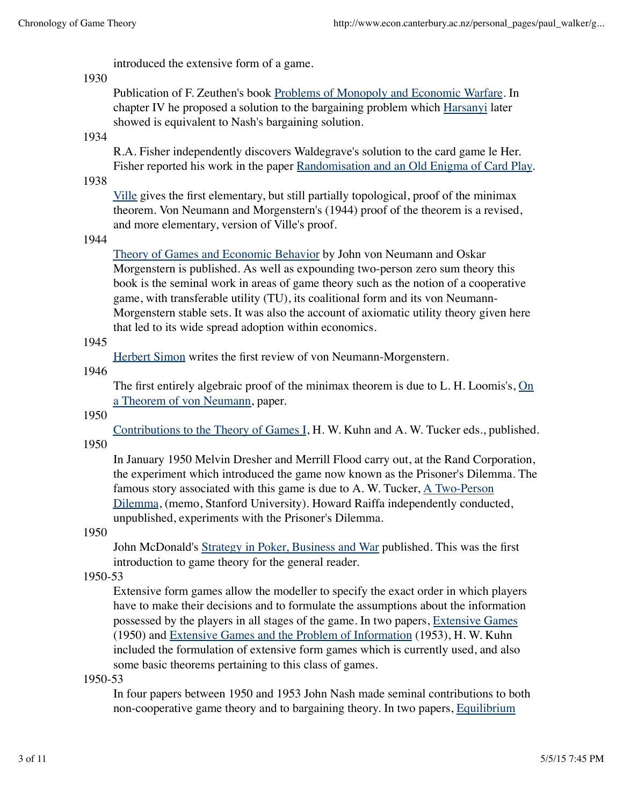introduced the extensive form of a game.

## 1930

Publication of F. Zeuthen's book Problems of Monopoly and Economic Warfare. In chapter IV he proposed a solution to the bargaining problem which Harsanyi later showed is equivalent to Nash's bargaining solution.

# 1934

R.A. Fisher independently discovers Waldegrave's solution to the card game le Her. Fisher reported his work in the paper Randomisation and an Old Enigma of Card Play.

1938

Ville gives the first elementary, but still partially topological, proof of the minimax theorem. Von Neumann and Morgenstern's (1944) proof of the theorem is a revised, and more elementary, version of Ville's proof.

## 1944

Theory of Games and Economic Behavior by John von Neumann and Oskar Morgenstern is published. As well as expounding two-person zero sum theory this book is the seminal work in areas of game theory such as the notion of a cooperative game, with transferable utility (TU), its coalitional form and its von Neumann-Morgenstern stable sets. It was also the account of axiomatic utility theory given here that led to its wide spread adoption within economics.

## 1945

Herbert Simon writes the first review of von Neumann-Morgenstern.

# 1946

The first entirely algebraic proof of the minimax theorem is due to L. H. Loomis's, On a Theorem of von Neumann, paper.

# 1950

Contributions to the Theory of Games I, H. W. Kuhn and A. W. Tucker eds., published. 1950

In January 1950 Melvin Dresher and Merrill Flood carry out, at the Rand Corporation, the experiment which introduced the game now known as the Prisoner's Dilemma. The famous story associated with this game is due to A. W. Tucker, A Two-Person Dilemma, (memo, Stanford University). Howard Raiffa independently conducted, unpublished, experiments with the Prisoner's Dilemma.

### 1950

John McDonald's Strategy in Poker, Business and War published. This was the first introduction to game theory for the general reader.

# 1950-53

Extensive form games allow the modeller to specify the exact order in which players have to make their decisions and to formulate the assumptions about the information possessed by the players in all stages of the game. In two papers, Extensive Games (1950) and Extensive Games and the Problem of Information (1953), H. W. Kuhn included the formulation of extensive form games which is currently used, and also some basic theorems pertaining to this class of games.

# 1950-53

In four papers between 1950 and 1953 John Nash made seminal contributions to both non-cooperative game theory and to bargaining theory. In two papers, Equilibrium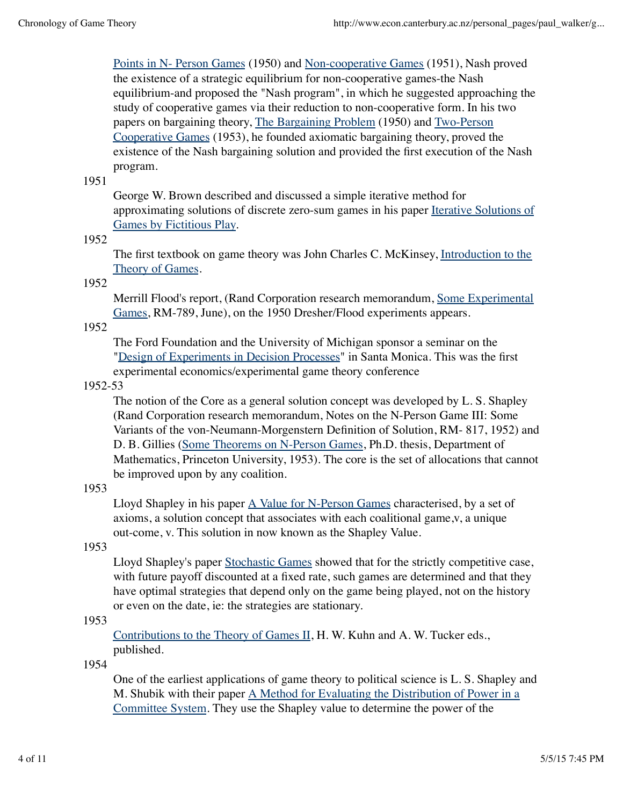Points in N- Person Games (1950) and Non-cooperative Games (1951), Nash proved the existence of a strategic equilibrium for non-cooperative games-the Nash equilibrium-and proposed the "Nash program", in which he suggested approaching the study of cooperative games via their reduction to non-cooperative form. In his two papers on bargaining theory, The Bargaining Problem (1950) and Two-Person Cooperative Games (1953), he founded axiomatic bargaining theory, proved the existence of the Nash bargaining solution and provided the first execution of the Nash program.

1951

George W. Brown described and discussed a simple iterative method for approximating solutions of discrete zero-sum games in his paper Iterative Solutions of Games by Fictitious Play.

#### 1952

The first textbook on game theory was John Charles C. McKinsey, Introduction to the Theory of Games.

### 1952

Merrill Flood's report, (Rand Corporation research memorandum, Some Experimental Games, RM-789, June), on the 1950 Dresher/Flood experiments appears.

#### 1952

The Ford Foundation and the University of Michigan sponsor a seminar on the "Design of Experiments in Decision Processes" in Santa Monica. This was the first experimental economics/experimental game theory conference

#### 1952-53

The notion of the Core as a general solution concept was developed by L. S. Shapley (Rand Corporation research memorandum, Notes on the N-Person Game III: Some Variants of the von-Neumann-Morgenstern Definition of Solution, RM- 817, 1952) and D. B. Gillies (Some Theorems on N-Person Games, Ph.D. thesis, Department of Mathematics, Princeton University, 1953). The core is the set of allocations that cannot be improved upon by any coalition.

#### 1953

Lloyd Shapley in his paper  $\underline{A}$  Value for N-Person Games characterised, by a set of axioms, a solution concept that associates with each coalitional game,v, a unique out-come, v. This solution in now known as the Shapley Value.

#### 1953

Lloyd Shapley's paper Stochastic Games showed that for the strictly competitive case, with future payoff discounted at a fixed rate, such games are determined and that they have optimal strategies that depend only on the game being played, not on the history or even on the date, ie: the strategies are stationary.

### 1953

Contributions to the Theory of Games II, H. W. Kuhn and A. W. Tucker eds., published.

#### 1954

One of the earliest applications of game theory to political science is L. S. Shapley and M. Shubik with their paper A Method for Evaluating the Distribution of Power in a Committee System. They use the Shapley value to determine the power of the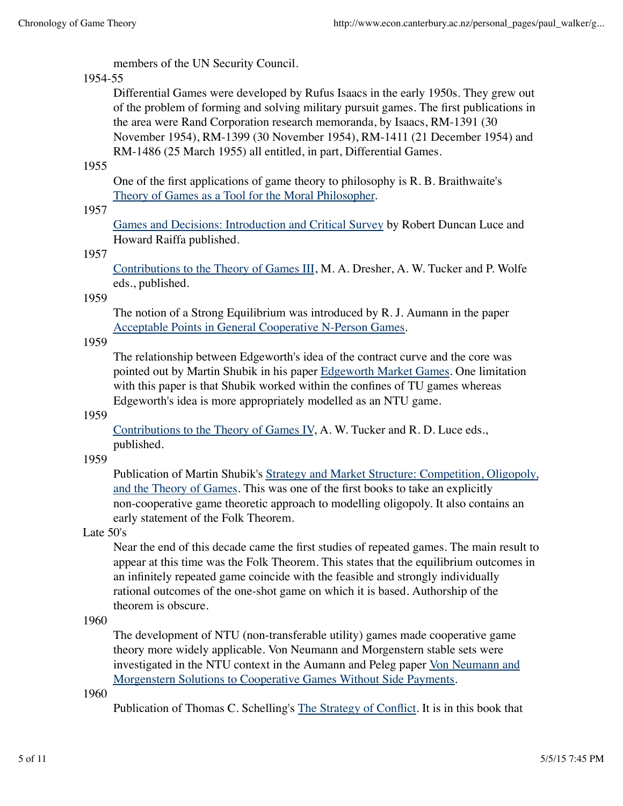members of the UN Security Council.

# 1954-55

Differential Games were developed by Rufus Isaacs in the early 1950s. They grew out of the problem of forming and solving military pursuit games. The first publications in the area were Rand Corporation research memoranda, by Isaacs, RM-1391 (30 November 1954), RM-1399 (30 November 1954), RM-1411 (21 December 1954) and RM-1486 (25 March 1955) all entitled, in part, Differential Games.

1955

One of the first applications of game theory to philosophy is R. B. Braithwaite's Theory of Games as a Tool for the Moral Philosopher.

# 1957

Games and Decisions: Introduction and Critical Survey by Robert Duncan Luce and Howard Raiffa published.

# 1957

Contributions to the Theory of Games III, M. A. Dresher, A. W. Tucker and P. Wolfe eds., published.

1959

The notion of a Strong Equilibrium was introduced by R. J. Aumann in the paper Acceptable Points in General Cooperative N-Person Games.

## 1959

The relationship between Edgeworth's idea of the contract curve and the core was pointed out by Martin Shubik in his paper Edgeworth Market Games. One limitation with this paper is that Shubik worked within the confines of TU games whereas Edgeworth's idea is more appropriately modelled as an NTU game.

# 1959

Contributions to the Theory of Games IV, A. W. Tucker and R. D. Luce eds., published.

# 1959

Publication of Martin Shubik's Strategy and Market Structure: Competition, Oligopoly, and the Theory of Games. This was one of the first books to take an explicitly non-cooperative game theoretic approach to modelling oligopoly. It also contains an early statement of the Folk Theorem.

# Late 50's

Near the end of this decade came the first studies of repeated games. The main result to appear at this time was the Folk Theorem. This states that the equilibrium outcomes in an infinitely repeated game coincide with the feasible and strongly individually rational outcomes of the one-shot game on which it is based. Authorship of the theorem is obscure.

# 1960

The development of NTU (non-transferable utility) games made cooperative game theory more widely applicable. Von Neumann and Morgenstern stable sets were investigated in the NTU context in the Aumann and Peleg paper Von Neumann and Morgenstern Solutions to Cooperative Games Without Side Payments.

1960

Publication of Thomas C. Schelling's The Strategy of Conflict. It is in this book that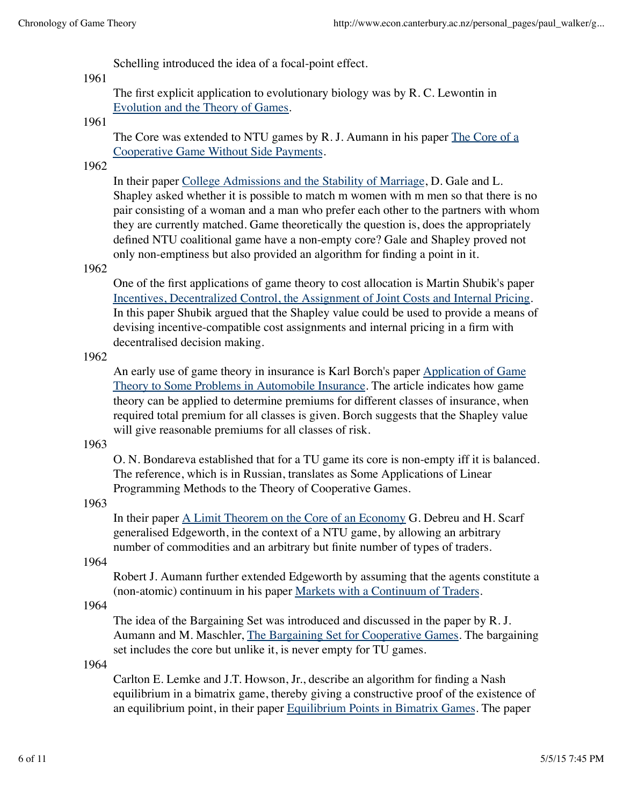Schelling introduced the idea of a focal-point effect.

## 1961

The first explicit application to evolutionary biology was by R. C. Lewontin in Evolution and the Theory of Games.

#### 1961

The Core was extended to NTU games by R. J. Aumann in his paper The Core of a Cooperative Game Without Side Payments.

### 1962

In their paper College Admissions and the Stability of Marriage, D. Gale and L. Shapley asked whether it is possible to match m women with m men so that there is no pair consisting of a woman and a man who prefer each other to the partners with whom they are currently matched. Game theoretically the question is, does the appropriately defined NTU coalitional game have a non-empty core? Gale and Shapley proved not only non-emptiness but also provided an algorithm for finding a point in it.

### 1962

One of the first applications of game theory to cost allocation is Martin Shubik's paper Incentives, Decentralized Control, the Assignment of Joint Costs and Internal Pricing. In this paper Shubik argued that the Shapley value could be used to provide a means of devising incentive-compatible cost assignments and internal pricing in a firm with decentralised decision making.

#### 1962

An early use of game theory in insurance is Karl Borch's paper Application of Game Theory to Some Problems in Automobile Insurance. The article indicates how game theory can be applied to determine premiums for different classes of insurance, when required total premium for all classes is given. Borch suggests that the Shapley value will give reasonable premiums for all classes of risk.

### 1963

O. N. Bondareva established that for a TU game its core is non-empty iff it is balanced. The reference, which is in Russian, translates as Some Applications of Linear Programming Methods to the Theory of Cooperative Games.

### 1963

In their paper A Limit Theorem on the Core of an Economy G. Debreu and H. Scarf generalised Edgeworth, in the context of a NTU game, by allowing an arbitrary number of commodities and an arbitrary but finite number of types of traders.

## 1964

Robert J. Aumann further extended Edgeworth by assuming that the agents constitute a (non-atomic) continuum in his paper Markets with a Continuum of Traders.

#### 1964

The idea of the Bargaining Set was introduced and discussed in the paper by R. J. Aumann and M. Maschler, The Bargaining Set for Cooperative Games. The bargaining set includes the core but unlike it, is never empty for TU games.

#### 1964

Carlton E. Lemke and J.T. Howson, Jr., describe an algorithm for finding a Nash equilibrium in a bimatrix game, thereby giving a constructive proof of the existence of an equilibrium point, in their paper Equilibrium Points in Bimatrix Games. The paper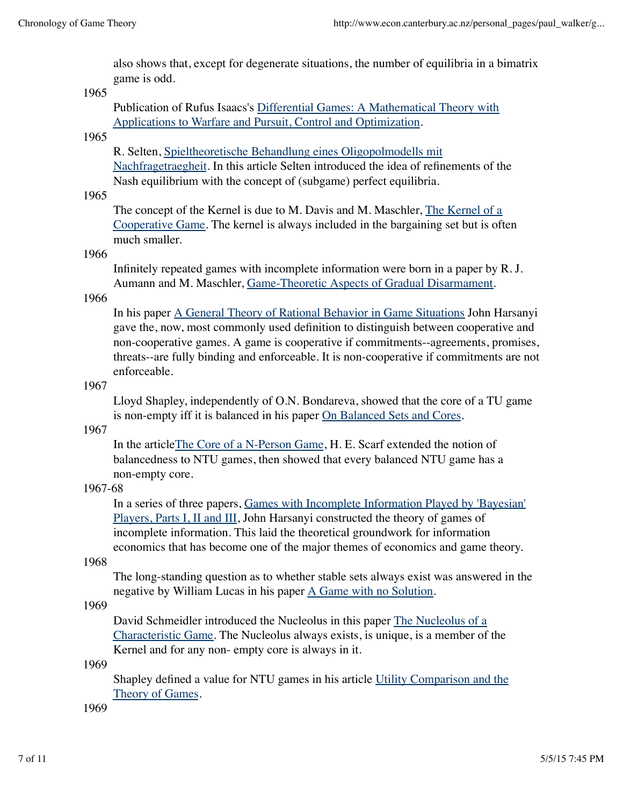also shows that, except for degenerate situations, the number of equilibria in a bimatrix game is odd.

#### 1965

Publication of Rufus Isaacs's Differential Games: A Mathematical Theory with Applications to Warfare and Pursuit, Control and Optimization.

### 1965

R. Selten, Spieltheoretische Behandlung eines Oligopolmodells mit Nachfragetraegheit. In this article Selten introduced the idea of refinements of the Nash equilibrium with the concept of (subgame) perfect equilibria.

### 1965

The concept of the Kernel is due to M. Davis and M. Maschler, The Kernel of a Cooperative Game. The kernel is always included in the bargaining set but is often much smaller.

#### 1966

Infinitely repeated games with incomplete information were born in a paper by R. J. Aumann and M. Maschler, Game-Theoretic Aspects of Gradual Disarmament.

## 1966

In his paper A General Theory of Rational Behavior in Game Situations John Harsanyi gave the, now, most commonly used definition to distinguish between cooperative and non-cooperative games. A game is cooperative if commitments--agreements, promises, threats--are fully binding and enforceable. It is non-cooperative if commitments are not enforceable.

### 1967

Lloyd Shapley, independently of O.N. Bondareva, showed that the core of a TU game is non-empty iff it is balanced in his paper On Balanced Sets and Cores.

### 1967

In the articleThe Core of a N-Person Game, H. E. Scarf extended the notion of balancedness to NTU games, then showed that every balanced NTU game has a non-empty core.

### 1967-68

In a series of three papers, Games with Incomplete Information Played by 'Bayesian' Players, Parts I, II and III, John Harsanyi constructed the theory of games of incomplete information. This laid the theoretical groundwork for information economics that has become one of the major themes of economics and game theory.

### 1968

The long-standing question as to whether stable sets always exist was answered in the negative by William Lucas in his paper A Game with no Solution.

### 1969

David Schmeidler introduced the Nucleolus in this paper The Nucleolus of a Characteristic Game. The Nucleolus always exists, is unique, is a member of the Kernel and for any non- empty core is always in it.

#### 1969

Shapley defined a value for NTU games in his article Utility Comparison and the Theory of Games.

1969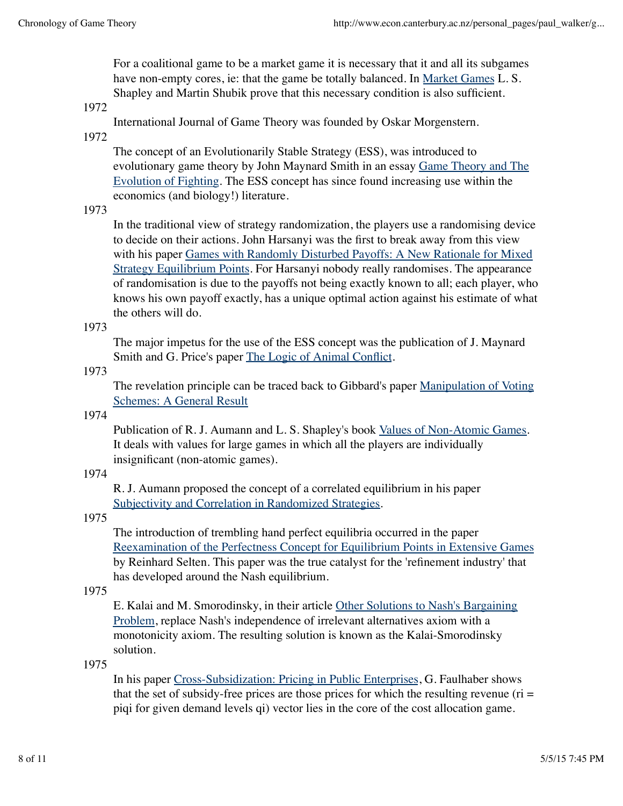For a coalitional game to be a market game it is necessary that it and all its subgames have non-empty cores, ie: that the game be totally balanced. In Market Games L. S. Shapley and Martin Shubik prove that this necessary condition is also sufficient.

#### 1972

International Journal of Game Theory was founded by Oskar Morgenstern.

1972

The concept of an Evolutionarily Stable Strategy (ESS), was introduced to evolutionary game theory by John Maynard Smith in an essay Game Theory and The Evolution of Fighting. The ESS concept has since found increasing use within the economics (and biology!) literature.

### 1973

In the traditional view of strategy randomization, the players use a randomising device to decide on their actions. John Harsanyi was the first to break away from this view with his paper Games with Randomly Disturbed Payoffs: A New Rationale for Mixed Strategy Equilibrium Points. For Harsanyi nobody really randomises. The appearance of randomisation is due to the payoffs not being exactly known to all; each player, who knows his own payoff exactly, has a unique optimal action against his estimate of what the others will do.

#### 1973

The major impetus for the use of the ESS concept was the publication of J. Maynard Smith and G. Price's paper The Logic of Animal Conflict.

#### 1973

The revelation principle can be traced back to Gibbard's paper Manipulation of Voting Schemes: A General Result

### 1974

Publication of R. J. Aumann and L. S. Shapley's book Values of Non-Atomic Games. It deals with values for large games in which all the players are individually insignificant (non-atomic games).

### 1974

R. J. Aumann proposed the concept of a correlated equilibrium in his paper Subjectivity and Correlation in Randomized Strategies.

## 1975

The introduction of trembling hand perfect equilibria occurred in the paper Reexamination of the Perfectness Concept for Equilibrium Points in Extensive Games by Reinhard Selten. This paper was the true catalyst for the 'refinement industry' that has developed around the Nash equilibrium.

### 1975

E. Kalai and M. Smorodinsky, in their article Other Solutions to Nash's Bargaining Problem, replace Nash's independence of irrelevant alternatives axiom with a monotonicity axiom. The resulting solution is known as the Kalai-Smorodinsky solution.

#### 1975

In his paper Cross-Subsidization: Pricing in Public Enterprises, G. Faulhaber shows that the set of subsidy-free prices are those prices for which the resulting revenue ( $ri =$ piqi for given demand levels qi) vector lies in the core of the cost allocation game.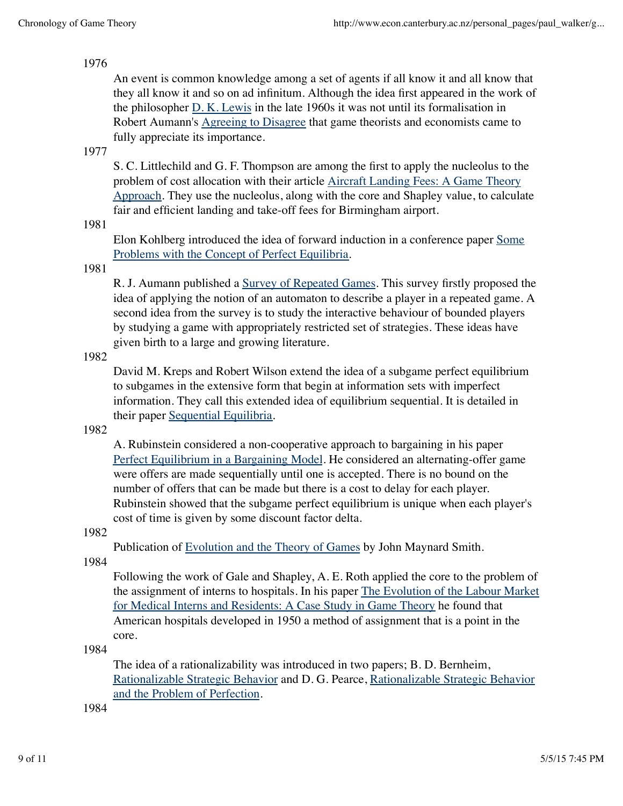### 1976

An event is common knowledge among a set of agents if all know it and all know that they all know it and so on ad infinitum. Although the idea first appeared in the work of the philosopher D. K. Lewis in the late 1960s it was not until its formalisation in Robert Aumann's Agreeing to Disagree that game theorists and economists came to fully appreciate its importance.

## 1977

S. C. Littlechild and G. F. Thompson are among the first to apply the nucleolus to the problem of cost allocation with their article Aircraft Landing Fees: A Game Theory Approach. They use the nucleolus, along with the core and Shapley value, to calculate fair and efficient landing and take-off fees for Birmingham airport.

1981

Elon Kohlberg introduced the idea of forward induction in a conference paper Some Problems with the Concept of Perfect Equilibria.

### 1981

R. J. Aumann published a Survey of Repeated Games. This survey firstly proposed the idea of applying the notion of an automaton to describe a player in a repeated game. A second idea from the survey is to study the interactive behaviour of bounded players by studying a game with appropriately restricted set of strategies. These ideas have given birth to a large and growing literature.

### 1982

David M. Kreps and Robert Wilson extend the idea of a subgame perfect equilibrium to subgames in the extensive form that begin at information sets with imperfect information. They call this extended idea of equilibrium sequential. It is detailed in their paper Sequential Equilibria.

### 1982

A. Rubinstein considered a non-cooperative approach to bargaining in his paper Perfect Equilibrium in a Bargaining Model. He considered an alternating-offer game were offers are made sequentially until one is accepted. There is no bound on the number of offers that can be made but there is a cost to delay for each player. Rubinstein showed that the subgame perfect equilibrium is unique when each player's cost of time is given by some discount factor delta.

### 1982

Publication of Evolution and the Theory of Games by John Maynard Smith.

1984

Following the work of Gale and Shapley, A. E. Roth applied the core to the problem of the assignment of interns to hospitals. In his paper The Evolution of the Labour Market for Medical Interns and Residents: A Case Study in Game Theory he found that American hospitals developed in 1950 a method of assignment that is a point in the core.

1984

The idea of a rationalizability was introduced in two papers; B. D. Bernheim, Rationalizable Strategic Behavior and D. G. Pearce, Rationalizable Strategic Behavior and the Problem of Perfection.

1984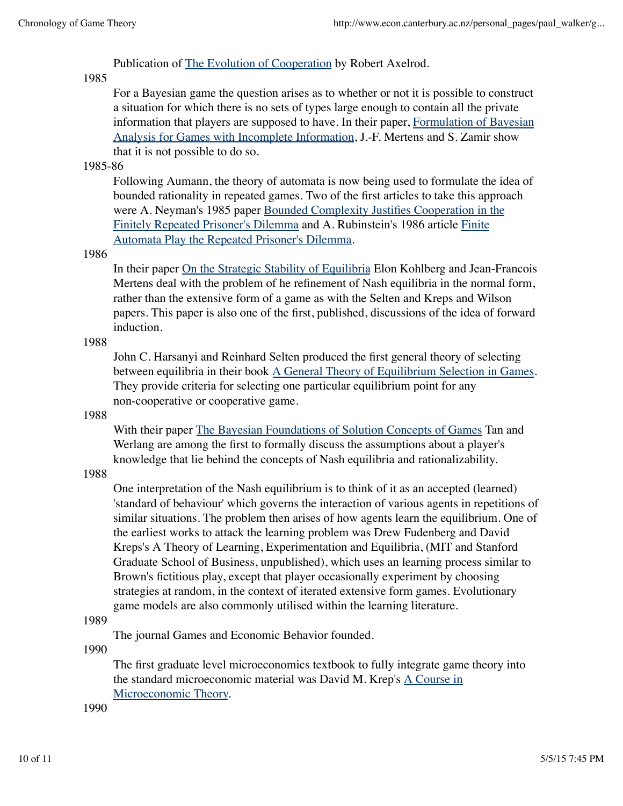Publication of The Evolution of Cooperation by Robert Axelrod.

# 1985

For a Bayesian game the question arises as to whether or not it is possible to construct a situation for which there is no sets of types large enough to contain all the private information that players are supposed to have. In their paper, Formulation of Bayesian Analysis for Games with Incomplete Information, J.-F. Mertens and S. Zamir show that it is not possible to do so.

# 1985-86

Following Aumann, the theory of automata is now being used to formulate the idea of bounded rationality in repeated games. Two of the first articles to take this approach were A. Neyman's 1985 paper Bounded Complexity Justifies Cooperation in the Finitely Repeated Prisoner's Dilemma and A. Rubinstein's 1986 article Finite Automata Play the Repeated Prisoner's Dilemma.

## 1986

In their paper On the Strategic Stability of Equilibria Elon Kohlberg and Jean-Francois Mertens deal with the problem of he refinement of Nash equilibria in the normal form, rather than the extensive form of a game as with the Selten and Kreps and Wilson papers. This paper is also one of the first, published, discussions of the idea of forward induction.

1988

John C. Harsanyi and Reinhard Selten produced the first general theory of selecting between equilibria in their book A General Theory of Equilibrium Selection in Games. They provide criteria for selecting one particular equilibrium point for any non-cooperative or cooperative game.

# 1988

With their paper The Bayesian Foundations of Solution Concepts of Games Tan and Werlang are among the first to formally discuss the assumptions about a player's knowledge that lie behind the concepts of Nash equilibria and rationalizability.

1988

One interpretation of the Nash equilibrium is to think of it as an accepted (learned) 'standard of behaviour' which governs the interaction of various agents in repetitions of similar situations. The problem then arises of how agents learn the equilibrium. One of the earliest works to attack the learning problem was Drew Fudenberg and David Kreps's A Theory of Learning, Experimentation and Equilibria, (MIT and Stanford Graduate School of Business, unpublished), which uses an learning process similar to Brown's fictitious play, except that player occasionally experiment by choosing strategies at random, in the context of iterated extensive form games. Evolutionary game models are also commonly utilised within the learning literature.

# 1989

The journal Games and Economic Behavior founded.

1990

The first graduate level microeconomics textbook to fully integrate game theory into the standard microeconomic material was David M. Krep's A Course in Microeconomic Theory.

1990